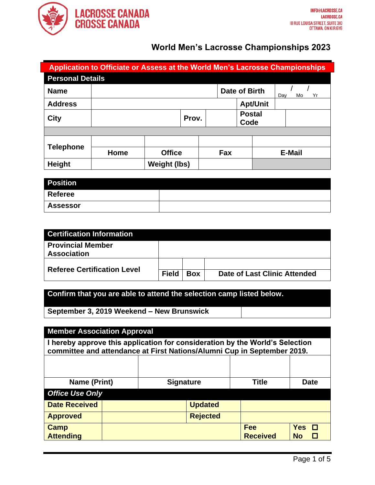

| Application to Officiate or Assess at the World Men's Lacrosse Championships |      |                     |       |  |               |                       |                 |     |               |
|------------------------------------------------------------------------------|------|---------------------|-------|--|---------------|-----------------------|-----------------|-----|---------------|
| <b>Personal Details</b>                                                      |      |                     |       |  |               |                       |                 |     |               |
| <b>Name</b>                                                                  |      |                     |       |  | Date of Birth |                       |                 | Day | Yr<br>Mo      |
| <b>Address</b>                                                               |      |                     |       |  |               |                       | <b>Apt/Unit</b> |     |               |
| <b>City</b>                                                                  |      |                     | Prov. |  |               | <b>Postal</b><br>Code |                 |     |               |
|                                                                              |      |                     |       |  |               |                       |                 |     |               |
| <b>Telephone</b>                                                             |      |                     |       |  |               |                       |                 |     |               |
|                                                                              | Home | <b>Office</b>       |       |  | Fax           |                       |                 |     | <b>E-Mail</b> |
| Height                                                                       |      | <b>Weight (lbs)</b> |       |  |               |                       |                 |     |               |

| <b>Position</b> |  |
|-----------------|--|
| <b>Referee</b>  |  |
| <b>Assessor</b> |  |

| <b>Certification Information</b>               |              |            |                              |
|------------------------------------------------|--------------|------------|------------------------------|
| <b>Provincial Member</b><br><b>Association</b> |              |            |                              |
| <b>Referee Certification Level</b>             |              |            |                              |
|                                                | <b>Field</b> | <b>Box</b> | Date of Last Clinic Attended |

### **Confirm that you are able to attend the selection camp listed below.**

**September 3, 2019 Weekend – New Brunswick**

| <b>Member Association Approval</b>                                                                                                                      |  |                  |                 |                               |                         |  |
|---------------------------------------------------------------------------------------------------------------------------------------------------------|--|------------------|-----------------|-------------------------------|-------------------------|--|
| I hereby approve this application for consideration by the World's Selection<br>committee and attendance at First Nations/Alumni Cup in September 2019. |  |                  |                 |                               |                         |  |
|                                                                                                                                                         |  |                  |                 |                               |                         |  |
| Name (Print)                                                                                                                                            |  | <b>Signature</b> |                 | <b>Title</b>                  | <b>Date</b>             |  |
| <b>Office Use Only</b>                                                                                                                                  |  |                  |                 |                               |                         |  |
| <b>Date Received</b>                                                                                                                                    |  |                  | <b>Updated</b>  |                               |                         |  |
| <b>Approved</b>                                                                                                                                         |  |                  | <b>Rejected</b> |                               |                         |  |
| <b>Camp</b><br><b>Attending</b>                                                                                                                         |  |                  |                 | <b>Fee</b><br><b>Received</b> | <b>Yes</b><br><b>No</b> |  |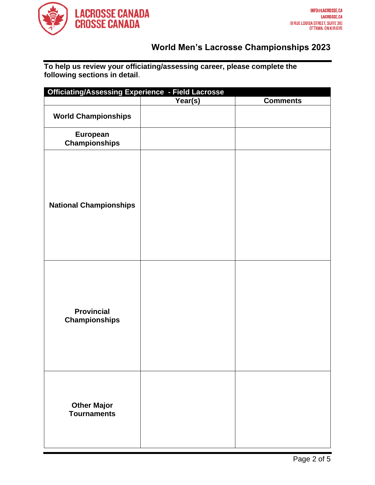

**To help us review your officiating/assessing career, please complete the following sections in detail**.

| <b>Officiating/Assessing Experience - Field Lacrosse</b> |         |                 |  |  |  |  |
|----------------------------------------------------------|---------|-----------------|--|--|--|--|
|                                                          | Year(s) | <b>Comments</b> |  |  |  |  |
| <b>World Championships</b>                               |         |                 |  |  |  |  |
| European<br><b>Championships</b>                         |         |                 |  |  |  |  |
| <b>National Championships</b>                            |         |                 |  |  |  |  |
| <b>Provincial</b><br><b>Championships</b>                |         |                 |  |  |  |  |
| <b>Other Major</b><br><b>Tournaments</b>                 |         |                 |  |  |  |  |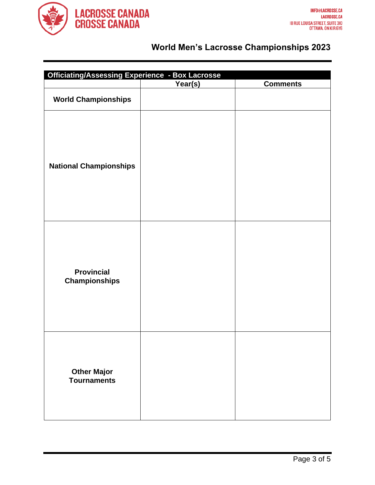

| <b>Officiating/Assessing Experience - Box Lacrosse</b> |         |                 |  |  |  |
|--------------------------------------------------------|---------|-----------------|--|--|--|
|                                                        | Year(s) | <b>Comments</b> |  |  |  |
| <b>World Championships</b>                             |         |                 |  |  |  |
| <b>National Championships</b>                          |         |                 |  |  |  |
| <b>Provincial</b><br><b>Championships</b>              |         |                 |  |  |  |
| <b>Other Major</b><br><b>Tournaments</b>               |         |                 |  |  |  |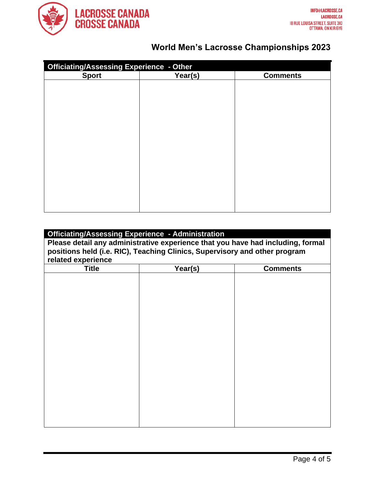

| <b>Officiating/Assessing Experience - Other</b> |         |                 |  |  |  |
|-------------------------------------------------|---------|-----------------|--|--|--|
| <b>Sport</b>                                    | Year(s) | <b>Comments</b> |  |  |  |
|                                                 |         |                 |  |  |  |
|                                                 |         |                 |  |  |  |
|                                                 |         |                 |  |  |  |
|                                                 |         |                 |  |  |  |
|                                                 |         |                 |  |  |  |
|                                                 |         |                 |  |  |  |
|                                                 |         |                 |  |  |  |
|                                                 |         |                 |  |  |  |
|                                                 |         |                 |  |  |  |
|                                                 |         |                 |  |  |  |
|                                                 |         |                 |  |  |  |
|                                                 |         |                 |  |  |  |
|                                                 |         |                 |  |  |  |
|                                                 |         |                 |  |  |  |
|                                                 |         |                 |  |  |  |
|                                                 |         |                 |  |  |  |

| <b>Officiating/Assessing Experience - Administration</b>                        |         |                 |  |  |  |  |
|---------------------------------------------------------------------------------|---------|-----------------|--|--|--|--|
| Please detail any administrative experience that you have had including, formal |         |                 |  |  |  |  |
| positions held (i.e. RIC), Teaching Clinics, Supervisory and other program      |         |                 |  |  |  |  |
| related experience                                                              |         |                 |  |  |  |  |
| <b>Title</b>                                                                    | Year(s) | <b>Comments</b> |  |  |  |  |
|                                                                                 |         |                 |  |  |  |  |
|                                                                                 |         |                 |  |  |  |  |
|                                                                                 |         |                 |  |  |  |  |
|                                                                                 |         |                 |  |  |  |  |
|                                                                                 |         |                 |  |  |  |  |
|                                                                                 |         |                 |  |  |  |  |
|                                                                                 |         |                 |  |  |  |  |
|                                                                                 |         |                 |  |  |  |  |
|                                                                                 |         |                 |  |  |  |  |
|                                                                                 |         |                 |  |  |  |  |
|                                                                                 |         |                 |  |  |  |  |
|                                                                                 |         |                 |  |  |  |  |
|                                                                                 |         |                 |  |  |  |  |
|                                                                                 |         |                 |  |  |  |  |
|                                                                                 |         |                 |  |  |  |  |
|                                                                                 |         |                 |  |  |  |  |
|                                                                                 |         |                 |  |  |  |  |